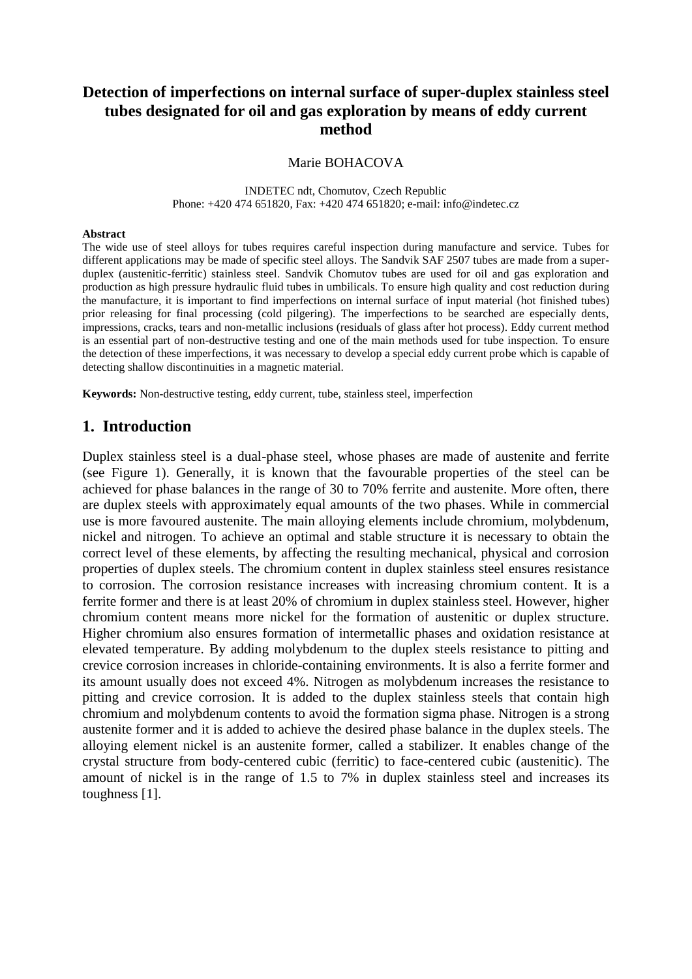# **Detection of imperfections on internal surface of super-duplex stainless steel tubes designated for oil and gas exploration by means of eddy current method**

### Marie BOHACOVA

INDETEC ndt, Chomutov, Czech Republic Phone: +420 474 651820, Fax: +420 474 651820; e-mail: info@indetec.cz

#### **Abstract**

The wide use of steel alloys for tubes requires careful inspection during manufacture and service. Tubes for different applications may be made of specific steel alloys. The Sandvik SAF 2507 tubes are made from a superduplex (austenitic-ferritic) stainless steel. Sandvik Chomutov tubes are used for oil and gas exploration and production as high pressure hydraulic fluid tubes in umbilicals. To ensure high quality and cost reduction during the manufacture, it is important to find imperfections on internal surface of input material (hot finished tubes) prior releasing for final processing (cold pilgering). The imperfections to be searched are especially dents, impressions, cracks, tears and non-metallic inclusions (residuals of glass after hot process). Eddy current method is an essential part of non-destructive testing and one of the main methods used for tube inspection. To ensure the detection of these imperfections, it was necessary to develop a special eddy current probe which is capable of detecting shallow discontinuities in a magnetic material.

**Keywords:** Non-destructive testing, eddy current, tube, stainless steel, imperfection

## **1. Introduction**

Duplex stainless steel is a dual-phase steel, whose phases are made of austenite and ferrite (see [Figure 1\)](#page-1-0). Generally, it is known that the favourable properties of the steel can be achieved for phase balances in the range of 30 to 70% ferrite and austenite. More often, there are duplex steels with approximately equal amounts of the two phases. While in commercial use is more favoured austenite. The main alloying elements include chromium, molybdenum, nickel and nitrogen. To achieve an optimal and stable structure it is necessary to obtain the correct level of these elements, by affecting the resulting mechanical, physical and corrosion properties of duplex steels. The chromium content in duplex stainless steel ensures resistance to corrosion. The corrosion resistance increases with increasing chromium content. It is a ferrite former and there is at least 20% of chromium in duplex stainless steel. However, higher chromium content means more nickel for the formation of austenitic or duplex structure. Higher chromium also ensures formation of intermetallic phases and oxidation resistance at elevated temperature. By adding molybdenum to the duplex steels resistance to pitting and crevice corrosion increases in chloride-containing environments. It is also a ferrite former and its amount usually does not exceed 4%. Nitrogen as molybdenum increases the resistance to pitting and crevice corrosion. It is added to the duplex stainless steels that contain high chromium and molybdenum contents to avoid the formation sigma phase. Nitrogen is a strong austenite former and it is added to achieve the desired phase balance in the duplex steels. The alloying element nickel is an austenite former, called a stabilizer. It enables change of the crystal structure from body-centered cubic (ferritic) to face-centered cubic (austenitic). The amount of nickel is in the range of 1.5 to 7% in duplex stainless steel and increases its toughness [1].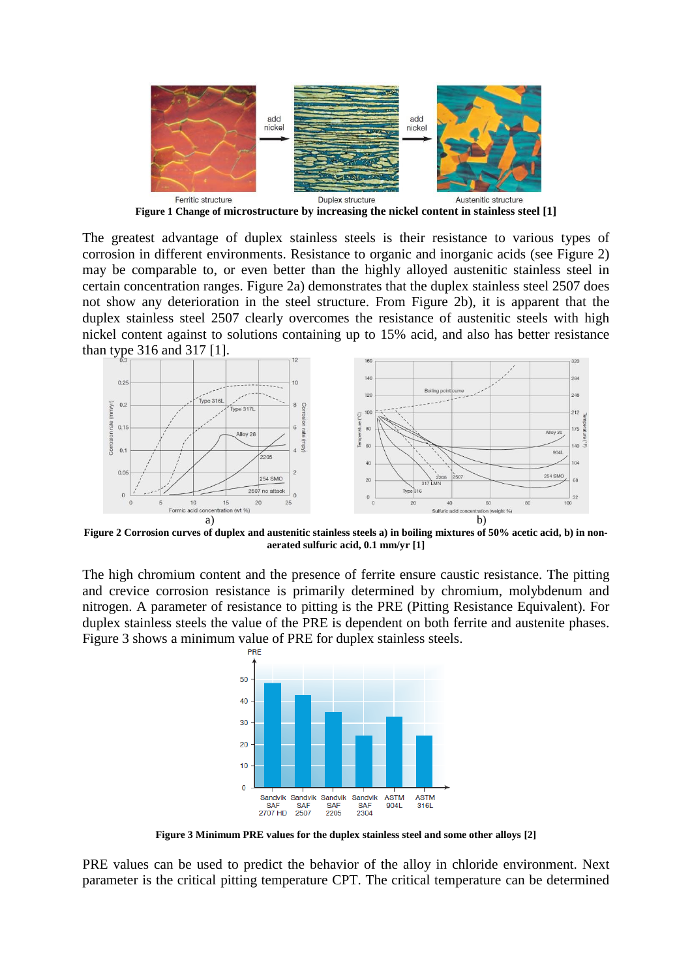

**Figure 1 Change of microstructure by increasing the nickel content in stainless steel [1]**

<span id="page-1-0"></span>The greatest advantage of duplex stainless steels is their resistance to various types of corrosion in different environments. Resistance to organic and inorganic acids (see [Figure 2\)](#page-1-1) may be comparable to, or even better than the highly alloyed austenitic stainless steel in certain concentration ranges. [Figure 2a](#page-1-1)) demonstrates that the duplex stainless steel 2507 does not show any deterioration in the steel structure. From [Figure 2b](#page-1-1)), it is apparent that the duplex stainless steel 2507 clearly overcomes the resistance of austenitic steels with high nickel content against to solutions containing up to 15% acid, and also has better resistance than type 316 and 317 [1].



<span id="page-1-1"></span>**Figure 2 Corrosion curves of duplex and austenitic stainless steels a) in boiling mixtures of 50% acetic acid, b) in nonaerated sulfuric acid, 0.1 mm/yr [1]**

The high chromium content and the presence of ferrite ensure caustic resistance. The pitting and crevice corrosion resistance is primarily determined by chromium, molybdenum and nitrogen. A parameter of resistance to pitting is the PRE (Pitting Resistance Equivalent). For duplex stainless steels the value of the PRE is dependent on both ferrite and austenite phases. [Figure 3](#page-1-2) shows a minimum value of PRE for duplex stainless steels.



**Figure 3 Minimum PRE values for the duplex stainless steel and some other alloys [2]**

<span id="page-1-2"></span>PRE values can be used to predict the behavior of the alloy in chloride environment. Next parameter is the critical pitting temperature CPT. The critical temperature can be determined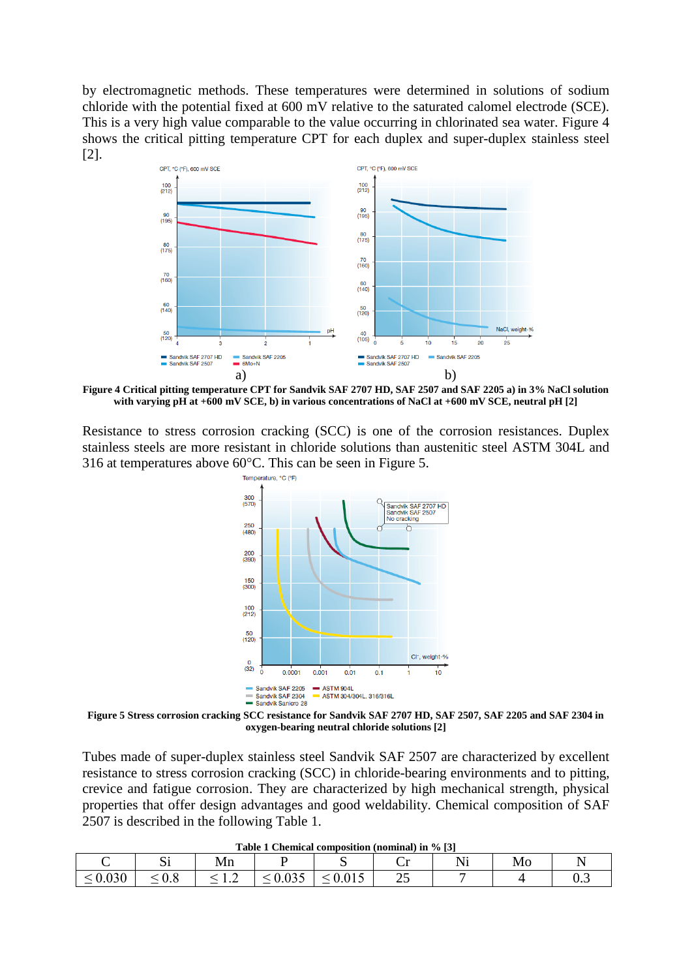by electromagnetic methods. These temperatures were determined in solutions of sodium chloride with the potential fixed at 600 mV relative to the saturated calomel electrode (SCE). This is a very high value comparable to the value occurring in chlorinated sea water. [Figure 4](#page-2-0) shows the critical pitting temperature CPT for each duplex and super-duplex stainless steel [2].



<span id="page-2-0"></span>**Figure 4 Critical pitting temperature CPT for Sandvik SAF 2707 HD, SAF 2507 and SAF 2205 a) in 3% NaCl solution with varying pH at +600 mV SCE, b) in various concentrations of NaCl at +600 mV SCE, neutral pH [2]**

Resistance to stress corrosion cracking (SCC) is one of the corrosion resistances. Duplex stainless steels are more resistant in chloride solutions than austenitic steel ASTM 304L and 316 at temperatures above  $60^{\circ}$ C. This can be seen in [Figure 5.](#page-2-1)



<span id="page-2-1"></span>**Figure 5 Stress corrosion cracking SCC resistance for Sandvik SAF 2707 HD, SAF 2507, SAF 2205 and SAF 2304 in oxygen-bearing neutral chloride solutions [2]**

Tubes made of super-duplex stainless steel Sandvik SAF 2507 are characterized by excellent resistance to stress corrosion cracking (SCC) in chloride-bearing environments and to pitting, crevice and fatigue corrosion. They are characterized by high mechanical strength, physical properties that offer design advantages and good weldability. Chemical composition of SAF 2507 is described in the following [Table 1.](#page-2-2)

<span id="page-2-2"></span>

|                              | $\sim \cdot$                                              | TATT<br>-----                 |                                       |                                                  | ັ | . | <b>Mo</b><br>- - - - |     |
|------------------------------|-----------------------------------------------------------|-------------------------------|---------------------------------------|--------------------------------------------------|---|---|----------------------|-----|
| $\sim$ 0.020<br><u>v.v.v</u> | $\mathsf{v} \cdot \mathsf{v}$<br>$\overline{\phantom{0}}$ | .<br>$\overline{\phantom{0}}$ | $\bigcap_{n\in\mathbb{N}}$<br>.v<br>— | $\sim$ $\sim$ $\sim$<br>$\overline{\phantom{0}}$ | ∼ |   |                      | ∪.J |

**Table 1 Chemical composition (nominal) in % [3]**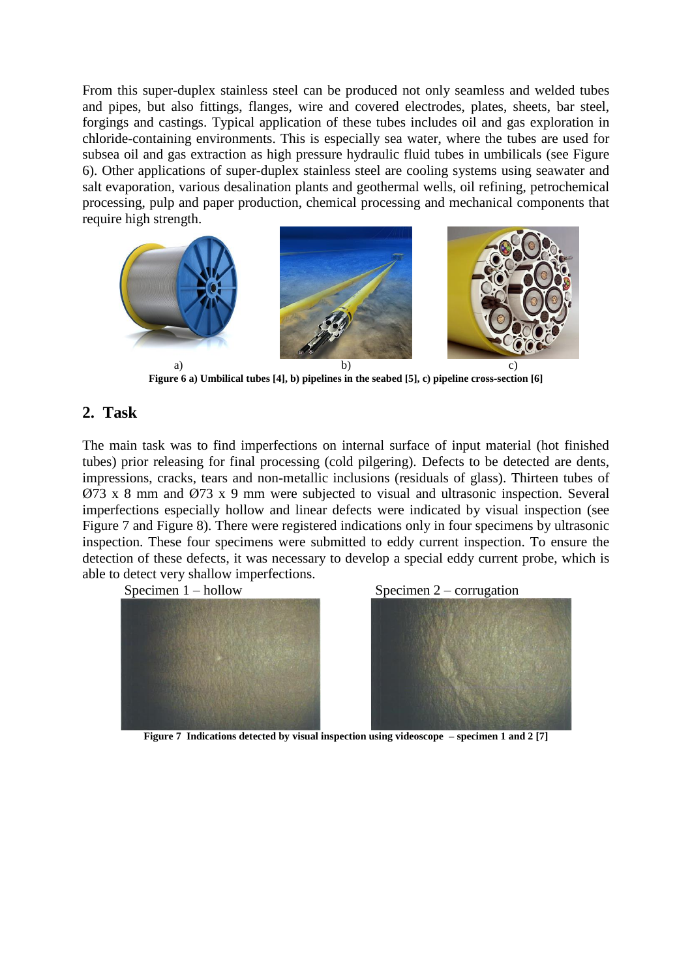From this super-duplex stainless steel can be produced not only seamless and welded tubes and pipes, but also fittings, flanges, wire and covered electrodes, plates, sheets, bar steel, forgings and castings. Typical application of these tubes includes oil and gas exploration in chloride-containing environments. This is especially sea water, where the tubes are used for subsea oil and gas extraction as high pressure hydraulic fluid tubes in umbilicals (see [Figure](#page-3-0)  [6\)](#page-3-0). Other applications of super-duplex stainless steel are cooling systems using seawater and salt evaporation, various desalination plants and geothermal wells, oil refining, petrochemical processing, pulp and paper production, chemical processing and mechanical components that require high strength.



**Figure 6 a) Umbilical tubes [4], b) pipelines in the seabed [5], c) pipeline cross-section [6]**

## <span id="page-3-0"></span>**2. Task**

The main task was to find imperfections on internal surface of input material (hot finished tubes) prior releasing for final processing (cold pilgering). Defects to be detected are dents, impressions, cracks, tears and non-metallic inclusions (residuals of glass). Thirteen tubes of Ø73 x 8 mm and Ø73 x 9 mm were subjected to visual and ultrasonic inspection. Several imperfections especially hollow and linear defects were indicated by visual inspection (see [Figure 7](#page-3-1) and [Figure 8\)](#page-4-0). There were registered indications only in four specimens by ultrasonic inspection. These four specimens were submitted to eddy current inspection. To ensure the detection of these defects, it was necessary to develop a special eddy current probe, which is able to detect very shallow imperfections.

<span id="page-3-1"></span>





**Figure 7 Indications detected by visual inspection using videoscope – specimen 1 and 2 [7]**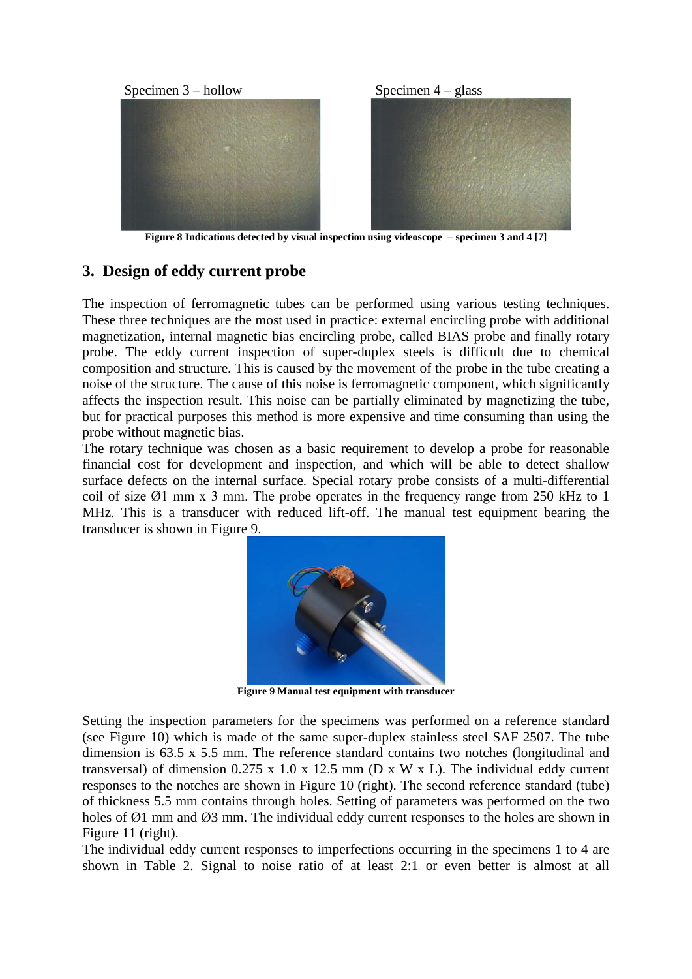

**Figure 8 Indications detected by visual inspection using videoscope – specimen 3 and 4 [7]**

# <span id="page-4-0"></span>**3. Design of eddy current probe**

The inspection of ferromagnetic tubes can be performed using various testing techniques. These three techniques are the most used in practice: external encircling probe with additional magnetization, internal magnetic bias encircling probe, called BIAS probe and finally rotary probe. The eddy current inspection of super-duplex steels is difficult due to chemical composition and structure. This is caused by the movement of the probe in the tube creating a noise of the structure. The cause of this noise is ferromagnetic component, which significantly affects the inspection result. This noise can be partially eliminated by magnetizing the tube, but for practical purposes this method is more expensive and time consuming than using the probe without magnetic bias.

The rotary technique was chosen as a basic requirement to develop a probe for reasonable financial cost for development and inspection, and which will be able to detect shallow surface defects on the internal surface. Special rotary probe consists of a multi-differential coil of size Ø1 mm x 3 mm. The probe operates in the frequency range from 250 kHz to 1 MHz. This is a transducer with reduced lift-off. The manual test equipment bearing the transducer is shown in [Figure 9.](#page-4-1)



**Figure 9 Manual test equipment with transducer**

<span id="page-4-1"></span>Setting the inspection parameters for the specimens was performed on a reference standard (see [Figure 10\)](#page-5-0) which is made of the same super-duplex stainless steel SAF 2507. The tube dimension is 63.5 x 5.5 mm. The reference standard contains two notches (longitudinal and transversal) of dimension  $0.275 \times 1.0 \times 12.5 \text{ mm}$  (D x W x L). The individual eddy current responses to the notches are shown in [Figure 10](#page-5-0) (right). The second reference standard (tube) of thickness 5.5 mm contains through holes. Setting of parameters was performed on the two holes of  $\varnothing$ 1 mm and  $\varnothing$ 3 mm. The individual eddy current responses to the holes are shown in [Figure 11](#page-5-1) (right).

The individual eddy current responses to imperfections occurring in the specimens 1 to 4 are shown in [Table 2.](#page-5-2) Signal to noise ratio of at least 2:1 or even better is almost at all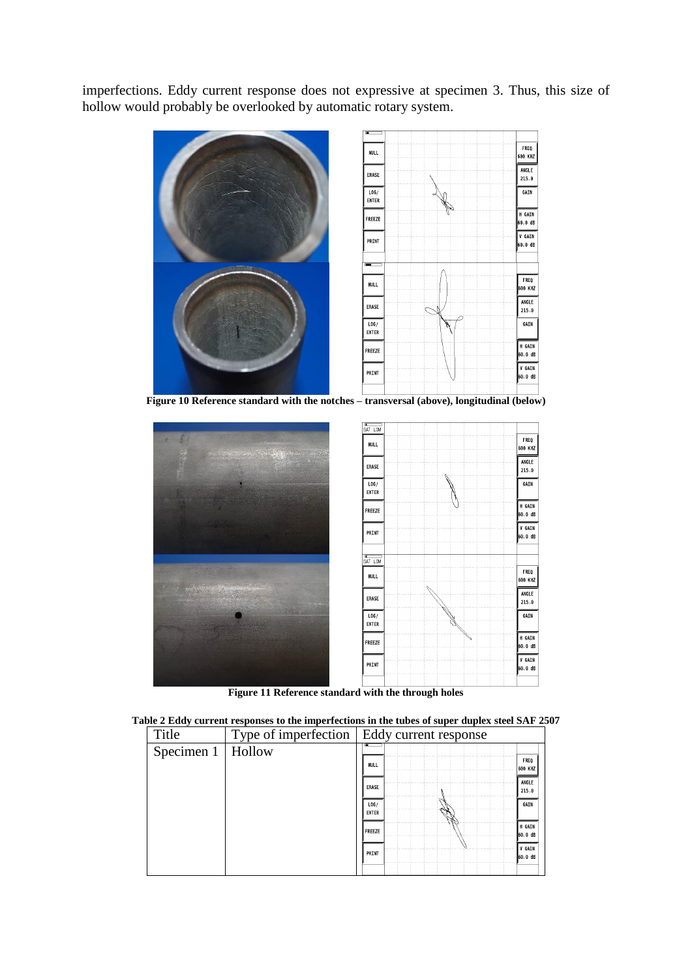imperfections. Eddy current response does not expressive at specimen 3. Thus, this size of hollow would probably be overlooked by automatic rotary system.

<span id="page-5-0"></span>

**Figure 11 Reference standard with the through holes** 

<span id="page-5-2"></span><span id="page-5-1"></span>

|  |  | Table 2 Eddy current responses to the imperfections in the tubes of super duplex steel SAF 2507 |
|--|--|-------------------------------------------------------------------------------------------------|
|  |  |                                                                                                 |

| Title      |        | Type of imperfection   Eddy current response |                        |
|------------|--------|----------------------------------------------|------------------------|
| Specimen 1 | Hollow |                                              |                        |
|            |        | NULL                                         | <b>FREQ</b><br>600 KHZ |
|            |        | <b>ERASE</b>                                 | ANGLE<br>215.0         |
|            |        | LOG/<br><b>ENTER</b>                         | GAIN                   |
|            |        | FREEZE                                       | H GAIN<br>60.0 dB      |
|            |        | PRINT                                        | V GAIN<br>60.0 dB      |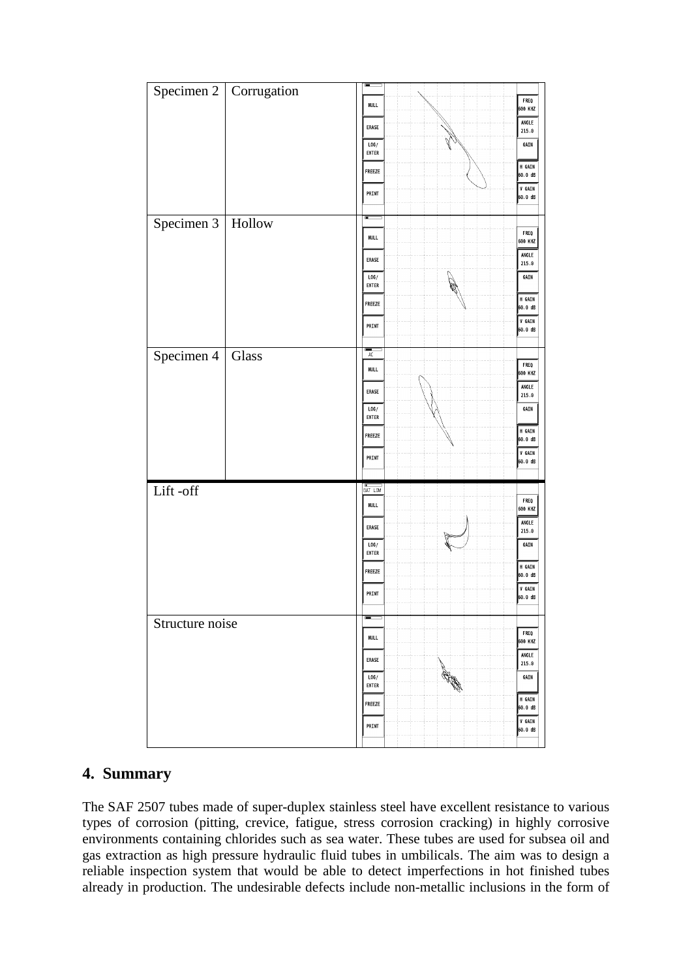

# **4. Summary**

The SAF 2507 tubes made of super-duplex stainless steel have excellent resistance to various types of corrosion (pitting, crevice, fatigue, stress corrosion cracking) in highly corrosive environments containing chlorides such as sea water. These tubes are used for subsea oil and gas extraction as high pressure hydraulic fluid tubes in umbilicals. The aim was to design a reliable inspection system that would be able to detect imperfections in hot finished tubes already in production. The undesirable defects include non-metallic inclusions in the form of